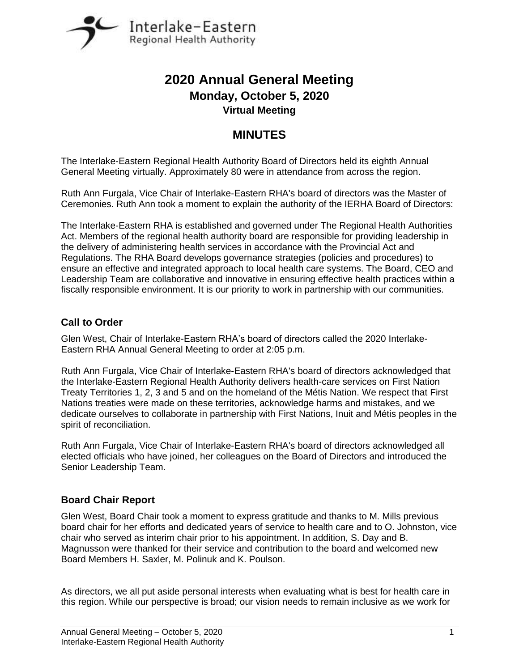

# **2020 Annual General Meeting Monday, October 5, 2020 Virtual Meeting**

# **MINUTES**

The Interlake-Eastern Regional Health Authority Board of Directors held its eighth Annual General Meeting virtually. Approximately 80 were in attendance from across the region.

Ruth Ann Furgala, Vice Chair of Interlake-Eastern RHA's board of directors was the Master of Ceremonies. Ruth Ann took a moment to explain the authority of the IERHA Board of Directors:

The Interlake-Eastern RHA is established and governed under The Regional Health Authorities Act. Members of the regional health authority board are responsible for providing leadership in the delivery of administering health services in accordance with the Provincial Act and Regulations. The RHA Board develops governance strategies (policies and procedures) to ensure an effective and integrated approach to local health care systems. The Board, CEO and Leadership Team are collaborative and innovative in ensuring effective health practices within a fiscally responsible environment. It is our priority to work in partnership with our communities.

## **Call to Order**

Glen West, Chair of Interlake-Eastern RHA's board of directors called the 2020 Interlake-Eastern RHA Annual General Meeting to order at 2:05 p.m.

Ruth Ann Furgala, Vice Chair of Interlake-Eastern RHA's board of directors acknowledged that the Interlake-Eastern Regional Health Authority delivers health-care services on First Nation Treaty Territories 1, 2, 3 and 5 and on the homeland of the Métis Nation. We respect that First Nations treaties were made on these territories, acknowledge harms and mistakes, and we dedicate ourselves to collaborate in partnership with First Nations, Inuit and Métis peoples in the spirit of reconciliation.

Ruth Ann Furgala, Vice Chair of Interlake-Eastern RHA's board of directors acknowledged all elected officials who have joined, her colleagues on the Board of Directors and introduced the Senior Leadership Team.

## **Board Chair Report**

Glen West, Board Chair took a moment to express gratitude and thanks to M. Mills previous board chair for her efforts and dedicated years of service to health care and to O. Johnston, vice chair who served as interim chair prior to his appointment. In addition, S. Day and B. Magnusson were thanked for their service and contribution to the board and welcomed new Board Members H. Saxler, M. Polinuk and K. Poulson.

As directors, we all put aside personal interests when evaluating what is best for health care in this region. While our perspective is broad; our vision needs to remain inclusive as we work for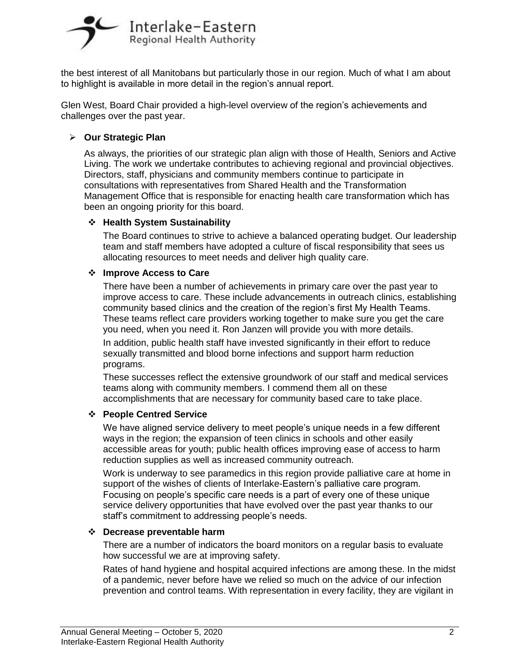

the best interest of all Manitobans but particularly those in our region. Much of what I am about to highlight is available in more detail in the region's annual report.

Glen West, Board Chair provided a high-level overview of the region's achievements and challenges over the past year.

## **Our Strategic Plan**

As always, the priorities of our strategic plan align with those of Health, Seniors and Active Living. The work we undertake contributes to achieving regional and provincial objectives. Directors, staff, physicians and community members continue to participate in consultations with representatives from Shared Health and the Transformation Management Office that is responsible for enacting health care transformation which has been an ongoing priority for this board.

## **Health System Sustainability**

The Board continues to strive to achieve a balanced operating budget. Our leadership team and staff members have adopted a culture of fiscal responsibility that sees us allocating resources to meet needs and deliver high quality care.

#### **Improve Access to Care**

There have been a number of achievements in primary care over the past year to improve access to care. These include advancements in outreach clinics, establishing community based clinics and the creation of the region's first My Health Teams. These teams reflect care providers working together to make sure you get the care you need, when you need it. Ron Janzen will provide you with more details.

In addition, public health staff have invested significantly in their effort to reduce sexually transmitted and blood borne infections and support harm reduction programs.

These successes reflect the extensive groundwork of our staff and medical services teams along with community members. I commend them all on these accomplishments that are necessary for community based care to take place.

## **People Centred Service**

We have aligned service delivery to meet people's unique needs in a few different ways in the region; the expansion of teen clinics in schools and other easily accessible areas for youth; public health offices improving ease of access to harm reduction supplies as well as increased community outreach.

Work is underway to see paramedics in this region provide palliative care at home in support of the wishes of clients of Interlake-Eastern's palliative care program. Focusing on people's specific care needs is a part of every one of these unique service delivery opportunities that have evolved over the past year thanks to our staff's commitment to addressing people's needs.

#### **Decrease preventable harm**

There are a number of indicators the board monitors on a regular basis to evaluate how successful we are at improving safety.

Rates of hand hygiene and hospital acquired infections are among these. In the midst of a pandemic, never before have we relied so much on the advice of our infection prevention and control teams. With representation in every facility, they are vigilant in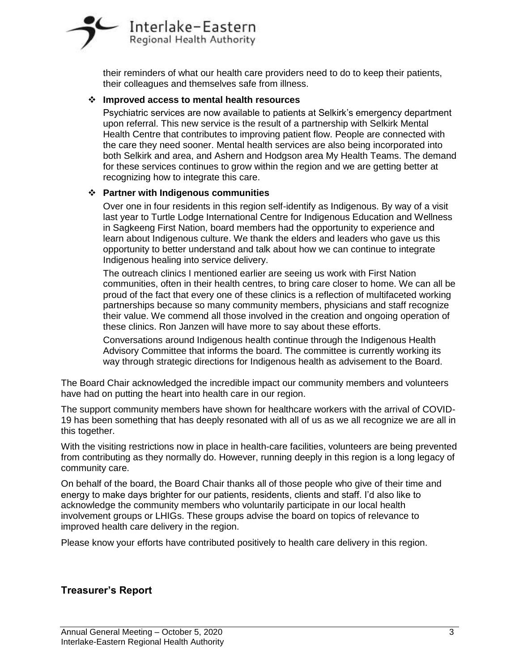

their reminders of what our health care providers need to do to keep their patients, their colleagues and themselves safe from illness.

#### **Improved access to mental health resources**

Psychiatric services are now available to patients at Selkirk's emergency department upon referral. This new service is the result of a partnership with Selkirk Mental Health Centre that contributes to improving patient flow. People are connected with the care they need sooner. Mental health services are also being incorporated into both Selkirk and area, and Ashern and Hodgson area My Health Teams. The demand for these services continues to grow within the region and we are getting better at recognizing how to integrate this care.

## **Partner with Indigenous communities**

Over one in four residents in this region self-identify as Indigenous. By way of a visit last year to Turtle Lodge International Centre for Indigenous Education and Wellness in Sagkeeng First Nation, board members had the opportunity to experience and learn about Indigenous culture. We thank the elders and leaders who gave us this opportunity to better understand and talk about how we can continue to integrate Indigenous healing into service delivery.

The outreach clinics I mentioned earlier are seeing us work with First Nation communities, often in their health centres, to bring care closer to home. We can all be proud of the fact that every one of these clinics is a reflection of multifaceted working partnerships because so many community members, physicians and staff recognize their value. We commend all those involved in the creation and ongoing operation of these clinics. Ron Janzen will have more to say about these efforts.

Conversations around Indigenous health continue through the Indigenous Health Advisory Committee that informs the board. The committee is currently working its way through strategic directions for Indigenous health as advisement to the Board.

The Board Chair acknowledged the incredible impact our community members and volunteers have had on putting the heart into health care in our region.

The support community members have shown for healthcare workers with the arrival of COVID-19 has been something that has deeply resonated with all of us as we all recognize we are all in this together.

With the visiting restrictions now in place in health-care facilities, volunteers are being prevented from contributing as they normally do. However, running deeply in this region is a long legacy of community care.

On behalf of the board, the Board Chair thanks all of those people who give of their time and energy to make days brighter for our patients, residents, clients and staff. I'd also like to acknowledge the community members who voluntarily participate in our local health involvement groups or LHIGs. These groups advise the board on topics of relevance to improved health care delivery in the region.

Please know your efforts have contributed positively to health care delivery in this region.

## **Treasurer's Report**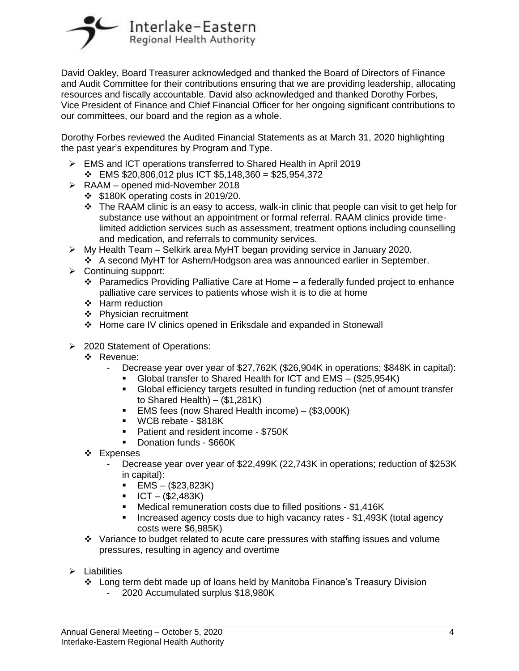

David Oakley, Board Treasurer acknowledged and thanked the Board of Directors of Finance and Audit Committee for their contributions ensuring that we are providing leadership, allocating resources and fiscally accountable. David also acknowledged and thanked Dorothy Forbes, Vice President of Finance and Chief Financial Officer for her ongoing significant contributions to our committees, our board and the region as a whole.

Dorothy Forbes reviewed the Audited Financial Statements as at March 31, 2020 highlighting the past year's expenditures by Program and Type.

- EMS and ICT operations transferred to Shared Health in April 2019
	- $\div$  EMS \$20,806,012 plus ICT \$5,148,360 = \$25,954,372
- $\triangleright$  RAAM opened mid-November 2018
	- $\div$  \$180K operating costs in 2019/20.
	- $\cdot \cdot$  The RAAM clinic is an easy to access, walk-in clinic that people can visit to get help for substance use without an appointment or formal referral. RAAM clinics provide timelimited addiction services such as assessment, treatment options including counselling and medication, and referrals to community services.
- $\triangleright$  My Health Team Selkirk area MyHT began providing service in January 2020.
	- A second MyHT for Ashern/Hodgson area was announced earlier in September.
- $\triangleright$  Continuing support:
	- **Paramedics Providing Palliative Care at Home a federally funded project to enhance** palliative care services to patients whose wish it is to die at home
	- Harm reduction
	- **❖** Physician recruitment
	- Home care IV clinics opened in Eriksdale and expanded in Stonewall
- **2020 Statement of Operations:** 
	- ❖ Revenue:
		- Decrease year over year of \$27,762K (\$26,904K in operations; \$848K in capital):
			- Global transfer to Shared Health for ICT and EMS (\$25,954K)
			- Global efficiency targets resulted in funding reduction (net of amount transfer to Shared Health) – (\$1,281K)
			- EMS fees (now Shared Health income) (\$3,000K)
			- WCB rebate \$818K
			- **Patient and resident income \$750K**
			- Donation funds \$660K
	- ❖ Expenses
		- Decrease year over year of \$22,499K (22,743K in operations; reduction of \$253K in capital):
			- $\blacksquare$  EMS (\$23,823K)
			- $ICT (\$2,483K)$
			- Medical remuneration costs due to filled positions \$1,416K
			- Increased agency costs due to high vacancy rates \$1,493K (total agency costs were \$6,985K)
	- $\div$  Variance to budget related to acute care pressures with staffing issues and volume pressures, resulting in agency and overtime
- $\triangleright$  Liabilities
	- Long term debt made up of loans held by Manitoba Finance's Treasury Division
		- 2020 Accumulated surplus \$18,980K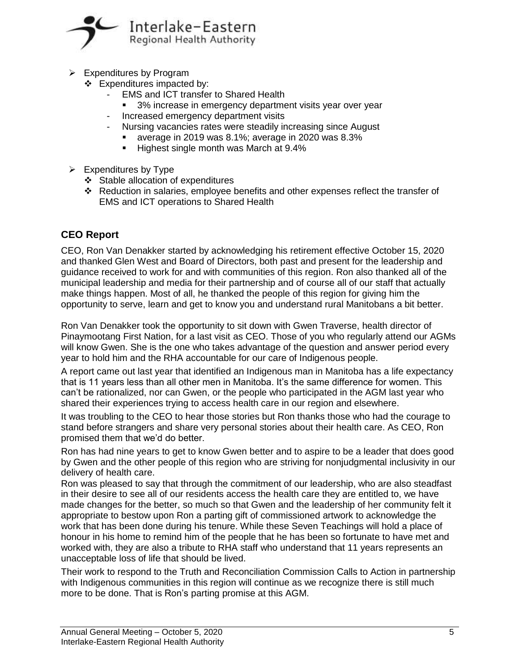

- $\triangleright$  Expenditures by Program
	- $\div$  Expenditures impacted by:
		- EMS and ICT transfer to Shared Health
			- 3% increase in emergency department visits year over year
		- Increased emergency department visits
		- Nursing vacancies rates were steadily increasing since August
			- average in 2019 was 8.1%; average in 2020 was 8.3%
			- Highest single month was March at 9.4%
- $\triangleright$  Expenditures by Type
	- Stable allocation of expenditures
	- Reduction in salaries, employee benefits and other expenses reflect the transfer of EMS and ICT operations to Shared Health

## **CEO Report**

CEO, Ron Van Denakker started by acknowledging his retirement effective October 15, 2020 and thanked Glen West and Board of Directors, both past and present for the leadership and guidance received to work for and with communities of this region. Ron also thanked all of the municipal leadership and media for their partnership and of course all of our staff that actually make things happen. Most of all, he thanked the people of this region for giving him the opportunity to serve, learn and get to know you and understand rural Manitobans a bit better.

Ron Van Denakker took the opportunity to sit down with Gwen Traverse, health director of Pinaymootang First Nation, for a last visit as CEO. Those of you who regularly attend our AGMs will know Gwen. She is the one who takes advantage of the question and answer period every year to hold him and the RHA accountable for our care of Indigenous people.

A report came out last year that identified an Indigenous man in Manitoba has a life expectancy that is 11 years less than all other men in Manitoba. It's the same difference for women. This can't be rationalized, nor can Gwen, or the people who participated in the AGM last year who shared their experiences trying to access health care in our region and elsewhere.

It was troubling to the CEO to hear those stories but Ron thanks those who had the courage to stand before strangers and share very personal stories about their health care. As CEO, Ron promised them that we'd do better.

Ron has had nine years to get to know Gwen better and to aspire to be a leader that does good by Gwen and the other people of this region who are striving for nonjudgmental inclusivity in our delivery of health care.

Ron was pleased to say that through the commitment of our leadership, who are also steadfast in their desire to see all of our residents access the health care they are entitled to, we have made changes for the better, so much so that Gwen and the leadership of her community felt it appropriate to bestow upon Ron a parting gift of commissioned artwork to acknowledge the work that has been done during his tenure. While these Seven Teachings will hold a place of honour in his home to remind him of the people that he has been so fortunate to have met and worked with, they are also a tribute to RHA staff who understand that 11 years represents an unacceptable loss of life that should be lived.

Their work to respond to the Truth and Reconciliation Commission Calls to Action in partnership with Indigenous communities in this region will continue as we recognize there is still much more to be done. That is Ron's parting promise at this AGM.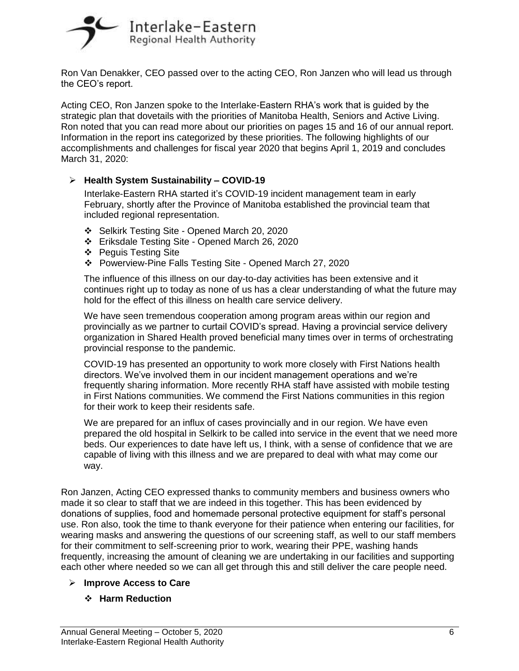

Ron Van Denakker, CEO passed over to the acting CEO, Ron Janzen who will lead us through the CEO's report.

Acting CEO, Ron Janzen spoke to the Interlake-Eastern RHA's work that is guided by the strategic plan that dovetails with the priorities of Manitoba Health, Seniors and Active Living. Ron noted that you can read more about our priorities on pages 15 and 16 of our annual report. Information in the report ins categorized by these priorities. The following highlights of our accomplishments and challenges for fiscal year 2020 that begins April 1, 2019 and concludes March 31, 2020:

## **Health System Sustainability – COVID-19**

Interlake-Eastern RHA started it's COVID-19 incident management team in early February, shortly after the Province of Manitoba established the provincial team that included regional representation.

- Selkirk Testing Site Opened March 20, 2020
- Eriksdale Testing Site Opened March 26, 2020
- Peguis Testing Site
- Powerview-Pine Falls Testing Site Opened March 27, 2020

The influence of this illness on our day-to-day activities has been extensive and it continues right up to today as none of us has a clear understanding of what the future may hold for the effect of this illness on health care service delivery.

We have seen tremendous cooperation among program areas within our region and provincially as we partner to curtail COVID's spread. Having a provincial service delivery organization in Shared Health proved beneficial many times over in terms of orchestrating provincial response to the pandemic.

COVID-19 has presented an opportunity to work more closely with First Nations health directors. We've involved them in our incident management operations and we're frequently sharing information. More recently RHA staff have assisted with mobile testing in First Nations communities. We commend the First Nations communities in this region for their work to keep their residents safe.

We are prepared for an influx of cases provincially and in our region. We have even prepared the old hospital in Selkirk to be called into service in the event that we need more beds. Our experiences to date have left us, I think, with a sense of confidence that we are capable of living with this illness and we are prepared to deal with what may come our way.

Ron Janzen, Acting CEO expressed thanks to community members and business owners who made it so clear to staff that we are indeed in this together. This has been evidenced by donations of supplies, food and homemade personal protective equipment for staff's personal use. Ron also, took the time to thank everyone for their patience when entering our facilities, for wearing masks and answering the questions of our screening staff, as well to our staff members for their commitment to self-screening prior to work, wearing their PPE, washing hands frequently, increasing the amount of cleaning we are undertaking in our facilities and supporting each other where needed so we can all get through this and still deliver the care people need.

## **Improve Access to Care**

## **Harm Reduction**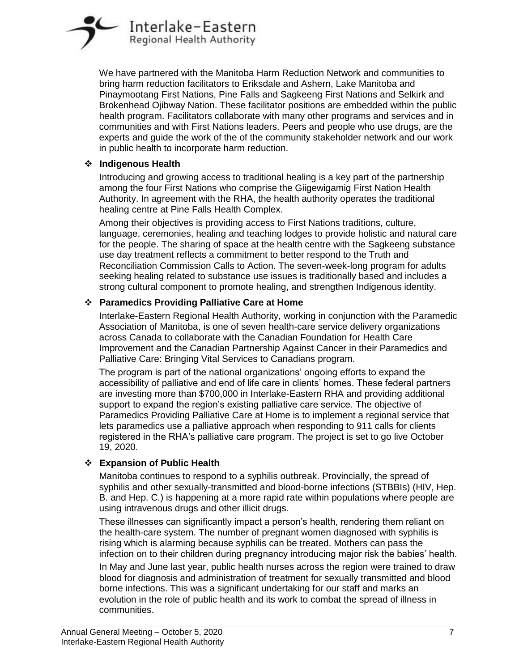

We have partnered with the Manitoba Harm Reduction Network and communities to bring harm reduction facilitators to Eriksdale and Ashern, Lake Manitoba and Pinaymootang First Nations, Pine Falls and Sagkeeng First Nations and Selkirk and Brokenhead Ojibway Nation. These facilitator positions are embedded within the public health program. Facilitators collaborate with many other programs and services and in communities and with First Nations leaders. Peers and people who use drugs, are the experts and guide the work of the of the community stakeholder network and our work in public health to incorporate harm reduction.

#### **Indigenous Health**

Introducing and growing access to traditional healing is a key part of the partnership among the four First Nations who comprise the Giigewigamig First Nation Health Authority. In agreement with the RHA, the health authority operates the traditional healing centre at Pine Falls Health Complex.

Among their objectives is providing access to First Nations traditions, culture, language, ceremonies, healing and teaching lodges to provide holistic and natural care for the people. The sharing of space at the health centre with the Sagkeeng substance use day treatment reflects a commitment to better respond to the Truth and Reconciliation Commission Calls to Action. The seven-week-long program for adults seeking healing related to substance use issues is traditionally based and includes a strong cultural component to promote healing, and strengthen Indigenous identity.

## **Paramedics Providing Palliative Care at Home**

Interlake-Eastern Regional Health Authority, working in conjunction with the Paramedic Association of Manitoba, is one of seven health-care service delivery organizations across Canada to collaborate with the Canadian Foundation for Health Care Improvement and the Canadian Partnership Against Cancer in their Paramedics and Palliative Care: Bringing Vital Services to Canadians program.

The program is part of the national organizations' ongoing efforts to expand the accessibility of palliative and end of life care in clients' homes. These federal partners are investing more than \$700,000 in Interlake-Eastern RHA and providing additional support to expand the region's existing palliative care service. The objective of Paramedics Providing Palliative Care at Home is to implement a regional service that lets paramedics use a palliative approach when responding to 911 calls for clients registered in the RHA's palliative care program. The project is set to go live October 19, 2020.

## **Expansion of Public Health**

Manitoba continues to respond to a syphilis outbreak. Provincially, the spread of syphilis and other sexually-transmitted and blood-borne infections (STBBIs) (HIV, Hep. B. and Hep. C.) is happening at a more rapid rate within populations where people are using intravenous drugs and other illicit drugs.

These illnesses can significantly impact a person's health, rendering them reliant on the health-care system. The number of pregnant women diagnosed with syphilis is rising which is alarming because syphilis can be treated. Mothers can pass the infection on to their children during pregnancy introducing major risk the babies' health.

In May and June last year, public health nurses across the region were trained to draw blood for diagnosis and administration of treatment for sexually transmitted and blood borne infections. This was a significant undertaking for our staff and marks an evolution in the role of public health and its work to combat the spread of illness in communities.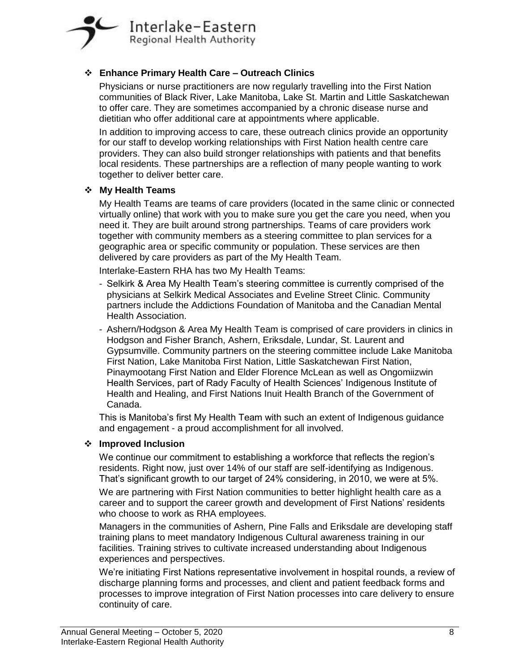

## **Enhance Primary Health Care – Outreach Clinics**

Physicians or nurse practitioners are now regularly travelling into the First Nation communities of Black River, Lake Manitoba, Lake St. Martin and Little Saskatchewan to offer care. They are sometimes accompanied by a chronic disease nurse and dietitian who offer additional care at appointments where applicable.

In addition to improving access to care, these outreach clinics provide an opportunity for our staff to develop working relationships with First Nation health centre care providers. They can also build stronger relationships with patients and that benefits local residents. These partnerships are a reflection of many people wanting to work together to deliver better care.

#### **My Health Teams**

My Health Teams are teams of care providers (located in the same clinic or connected virtually online) that work with you to make sure you get the care you need, when you need it. They are built around strong partnerships. Teams of care providers work together with community members as a steering committee to plan services for a geographic area or specific community or population. These services are then delivered by care providers as part of the My Health Team.

Interlake-Eastern RHA has two My Health Teams:

- Selkirk & Area My Health Team's steering committee is currently comprised of the physicians at Selkirk Medical Associates and Eveline Street Clinic. Community partners include the Addictions Foundation of Manitoba and the Canadian Mental Health Association.
- Ashern/Hodgson & Area My Health Team is comprised of care providers in clinics in Hodgson and Fisher Branch, Ashern, Eriksdale, Lundar, St. Laurent and Gypsumville. Community partners on the steering committee include Lake Manitoba First Nation, Lake Manitoba First Nation, Little Saskatchewan First Nation, Pinaymootang First Nation and Elder Florence McLean as well as Ongomiizwin Health Services, part of Rady Faculty of Health Sciences' Indigenous Institute of Health and Healing, and First Nations Inuit Health Branch of the Government of Canada.

This is Manitoba's first My Health Team with such an extent of Indigenous guidance and engagement - a proud accomplishment for all involved.

#### **Improved Inclusion**

We continue our commitment to establishing a workforce that reflects the region's residents. Right now, just over 14% of our staff are self-identifying as Indigenous. That's significant growth to our target of 24% considering, in 2010, we were at 5%.

We are partnering with First Nation communities to better highlight health care as a career and to support the career growth and development of First Nations' residents who choose to work as RHA employees.

Managers in the communities of Ashern, Pine Falls and Eriksdale are developing staff training plans to meet mandatory Indigenous Cultural awareness training in our facilities. Training strives to cultivate increased understanding about Indigenous experiences and perspectives.

We're initiating First Nations representative involvement in hospital rounds, a review of discharge planning forms and processes, and client and patient feedback forms and processes to improve integration of First Nation processes into care delivery to ensure continuity of care.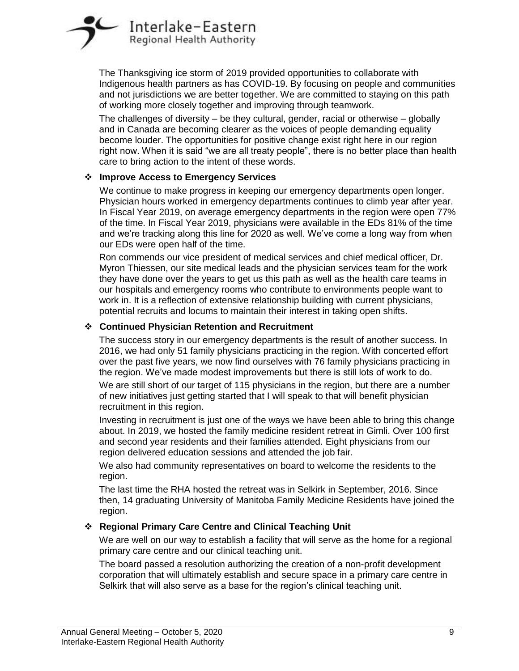

The Thanksgiving ice storm of 2019 provided opportunities to collaborate with Indigenous health partners as has COVID-19. By focusing on people and communities and not jurisdictions we are better together. We are committed to staying on this path of working more closely together and improving through teamwork.

The challenges of diversity – be they cultural, gender, racial or otherwise – globally and in Canada are becoming clearer as the voices of people demanding equality become louder. The opportunities for positive change exist right here in our region right now. When it is said "we are all treaty people", there is no better place than health care to bring action to the intent of these words.

## **Improve Access to Emergency Services**

We continue to make progress in keeping our emergency departments open longer. Physician hours worked in emergency departments continues to climb year after year. In Fiscal Year 2019, on average emergency departments in the region were open 77% of the time. In Fiscal Year 2019, physicians were available in the EDs 81% of the time and we're tracking along this line for 2020 as well. We've come a long way from when our EDs were open half of the time.

Ron commends our vice president of medical services and chief medical officer, Dr. Myron Thiessen, our site medical leads and the physician services team for the work they have done over the years to get us this path as well as the health care teams in our hospitals and emergency rooms who contribute to environments people want to work in. It is a reflection of extensive relationship building with current physicians, potential recruits and locums to maintain their interest in taking open shifts.

## **Continued Physician Retention and Recruitment**

The success story in our emergency departments is the result of another success. In 2016, we had only 51 family physicians practicing in the region. With concerted effort over the past five years, we now find ourselves with 76 family physicians practicing in the region. We've made modest improvements but there is still lots of work to do.

We are still short of our target of 115 physicians in the region, but there are a number of new initiatives just getting started that I will speak to that will benefit physician recruitment in this region.

Investing in recruitment is just one of the ways we have been able to bring this change about. In 2019, we hosted the family medicine resident retreat in Gimli. Over 100 first and second year residents and their families attended. Eight physicians from our region delivered education sessions and attended the job fair.

We also had community representatives on board to welcome the residents to the region.

The last time the RHA hosted the retreat was in Selkirk in September, 2016. Since then, 14 graduating University of Manitoba Family Medicine Residents have joined the region.

## **Regional Primary Care Centre and Clinical Teaching Unit**

We are well on our way to establish a facility that will serve as the home for a regional primary care centre and our clinical teaching unit.

The board passed a resolution authorizing the creation of a non-profit development corporation that will ultimately establish and secure space in a primary care centre in Selkirk that will also serve as a base for the region's clinical teaching unit.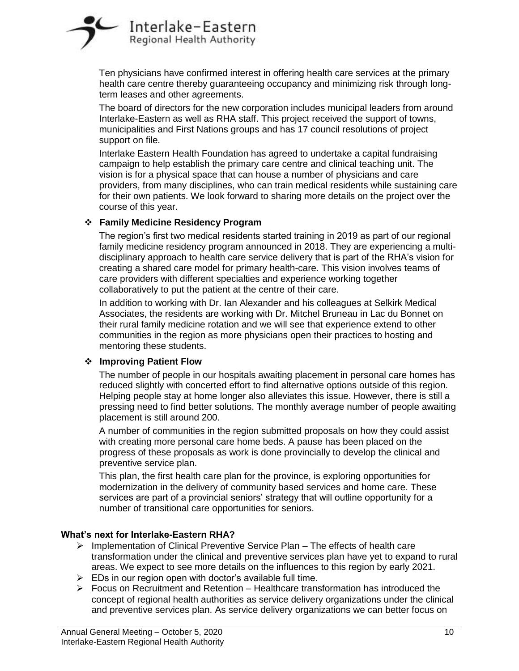

Ten physicians have confirmed interest in offering health care services at the primary health care centre thereby guaranteeing occupancy and minimizing risk through longterm leases and other agreements.

The board of directors for the new corporation includes municipal leaders from around Interlake-Eastern as well as RHA staff. This project received the support of towns, municipalities and First Nations groups and has 17 council resolutions of project support on file.

Interlake Eastern Health Foundation has agreed to undertake a capital fundraising campaign to help establish the primary care centre and clinical teaching unit. The vision is for a physical space that can house a number of physicians and care providers, from many disciplines, who can train medical residents while sustaining care for their own patients. We look forward to sharing more details on the project over the course of this year.

#### **Family Medicine Residency Program**

The region's first two medical residents started training in 2019 as part of our regional family medicine residency program announced in 2018. They are experiencing a multidisciplinary approach to health care service delivery that is part of the RHA's vision for creating a shared care model for primary health-care. This vision involves teams of care providers with different specialties and experience working together collaboratively to put the patient at the centre of their care.

In addition to working with Dr. Ian Alexander and his colleagues at Selkirk Medical Associates, the residents are working with Dr. Mitchel Bruneau in Lac du Bonnet on their rural family medicine rotation and we will see that experience extend to other communities in the region as more physicians open their practices to hosting and mentoring these students.

#### **Improving Patient Flow**

The number of people in our hospitals awaiting placement in personal care homes has reduced slightly with concerted effort to find alternative options outside of this region. Helping people stay at home longer also alleviates this issue. However, there is still a pressing need to find better solutions. The monthly average number of people awaiting placement is still around 200.

A number of communities in the region submitted proposals on how they could assist with creating more personal care home beds. A pause has been placed on the progress of these proposals as work is done provincially to develop the clinical and preventive service plan.

This plan, the first health care plan for the province, is exploring opportunities for modernization in the delivery of community based services and home care. These services are part of a provincial seniors' strategy that will outline opportunity for a number of transitional care opportunities for seniors.

#### **What's next for Interlake-Eastern RHA?**

- $\triangleright$  Implementation of Clinical Preventive Service Plan The effects of health care transformation under the clinical and preventive services plan have yet to expand to rural areas. We expect to see more details on the influences to this region by early 2021.
- $\triangleright$  EDs in our region open with doctor's available full time.
- $\triangleright$  Focus on Recruitment and Retention Healthcare transformation has introduced the concept of regional health authorities as service delivery organizations under the clinical and preventive services plan. As service delivery organizations we can better focus on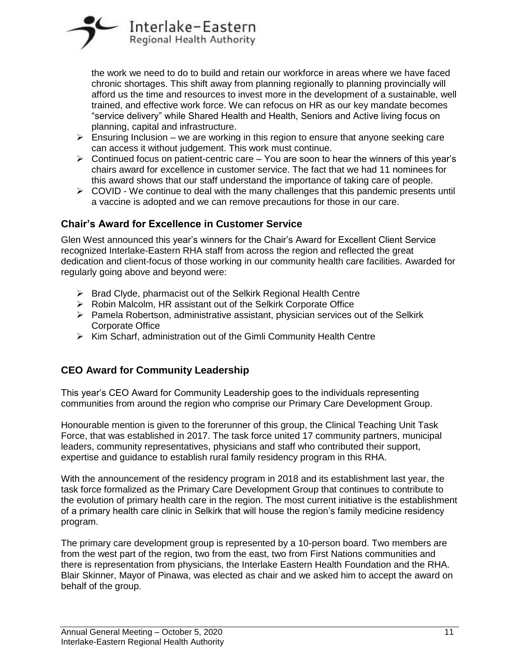

the work we need to do to build and retain our workforce in areas where we have faced chronic shortages. This shift away from planning regionally to planning provincially will afford us the time and resources to invest more in the development of a sustainable, well trained, and effective work force. We can refocus on HR as our key mandate becomes "service delivery" while Shared Health and Health, Seniors and Active living focus on planning, capital and infrastructure.

- $\triangleright$  Ensuring Inclusion we are working in this region to ensure that anyone seeking care can access it without judgement. This work must continue.
- $\triangleright$  Continued focus on patient-centric care You are soon to hear the winners of this year's chairs award for excellence in customer service. The fact that we had 11 nominees for this award shows that our staff understand the importance of taking care of people.
- $\triangleright$  COVID We continue to deal with the many challenges that this pandemic presents until a vaccine is adopted and we can remove precautions for those in our care.

## **Chair's Award for Excellence in Customer Service**

Glen West announced this year's winners for the Chair's Award for Excellent Client Service recognized Interlake-Eastern RHA staff from across the region and reflected the great dedication and client-focus of those working in our community health care facilities. Awarded for regularly going above and beyond were:

- $\triangleright$  Brad Clyde, pharmacist out of the Selkirk Regional Health Centre
- $\triangleright$  Robin Malcolm, HR assistant out of the Selkirk Corporate Office
- $\triangleright$  Pamela Robertson, administrative assistant, physician services out of the Selkirk Corporate Office
- $\triangleright$  Kim Scharf, administration out of the Gimli Community Health Centre

# **CEO Award for Community Leadership**

This year's CEO Award for Community Leadership goes to the individuals representing communities from around the region who comprise our Primary Care Development Group.

Honourable mention is given to the forerunner of this group, the Clinical Teaching Unit Task Force, that was established in 2017. The task force united 17 community partners, municipal leaders, community representatives, physicians and staff who contributed their support, expertise and guidance to establish rural family residency program in this RHA.

With the announcement of the residency program in 2018 and its establishment last year, the task force formalized as the Primary Care Development Group that continues to contribute to the evolution of primary health care in the region. The most current initiative is the establishment of a primary health care clinic in Selkirk that will house the region's family medicine residency program.

The primary care development group is represented by a 10-person board. Two members are from the west part of the region, two from the east, two from First Nations communities and there is representation from physicians, the Interlake Eastern Health Foundation and the RHA. Blair Skinner, Mayor of Pinawa, was elected as chair and we asked him to accept the award on behalf of the group.